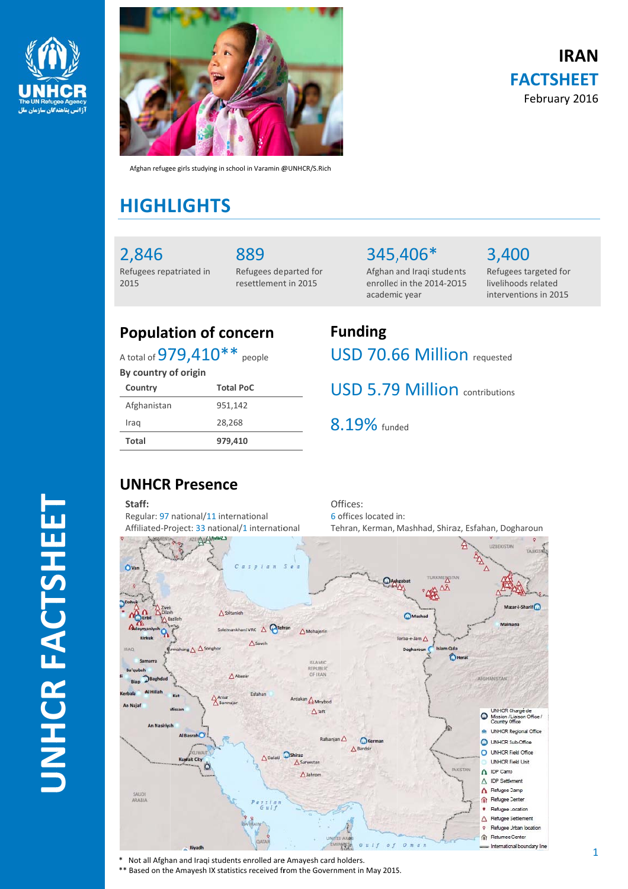



Afghan refugee girls studying in school in Varamin @UNHCR/S.Rich

## **HIGHL LIGHTS S**

2,846 Refugees rep atriated in 2015

889 Refugees de parted for resettlement in 2015

345, 406\* Afghan a and Iraqi stude nts enrolled in the 2014-2015 academ ic year

3,4 00 Refugees targeted for livelihoods related interventions in 2015

**IR RAN**

**FACTSH HEET** February 2016

## **Population of concern**

A total of  $979{,}410^{**}$  people

**By country o of origin**

| Country      | <b>Total PoC</b> |
|--------------|------------------|
| Afghanistan  | 951,142          |
| Iraq         | 28,268           |
| <b>Total</b> | 979,410          |

# **Fu unding** USD 70.66 Million requested

USD 5.79 Million contributions

8.19% funded

### **UNHCR R Presenc ce**

**Staff:** Regular: 97 national/11 international Affiliated-Project: 33 national/1 international Of ffices: 6 o offices located i n: Te hran, Kerman, Mashhad, Shira az, Esfahan, Do gharoun



\* Not all Afghan and Iraqi students enrolled are Amayesh card holders.

\*\* Based on the Amayesh IX statistics received from the Government in May 2015.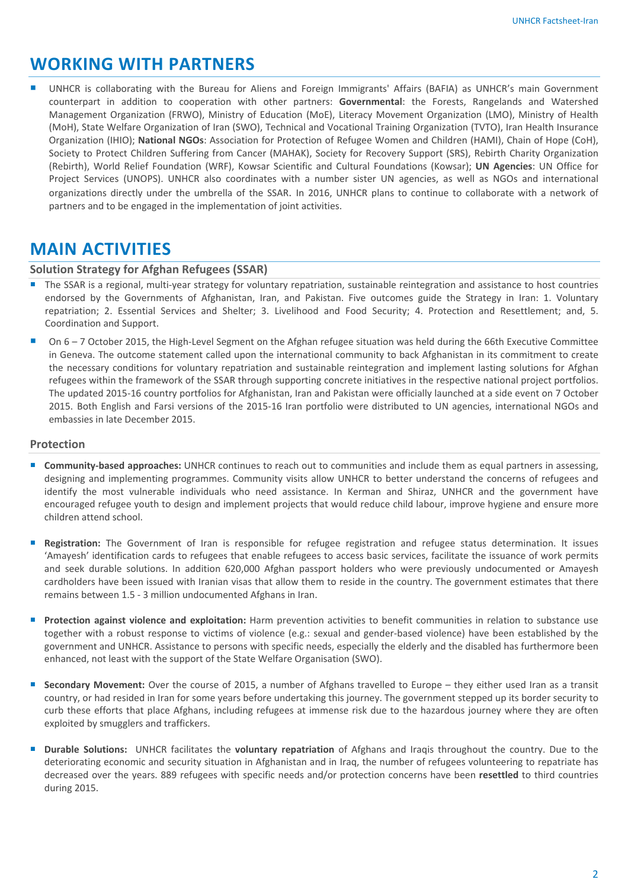## **WORKING WITH PARTNERS**

 UNHCR is collaborating with the Bureau for Aliens and Foreign Immigrants' Affairs (BAFIA) as UNHCR's main Government counterpart in addition to cooperation with other partners: **Governmental**: the Forests, Rangelands and Watershed Management Organization (FRWO), Ministry of Education (MoE), Literacy Movement Organization (LMO), Ministry of Health (MoH), State Welfare Organization of Iran (SWO), Technical and Vocational Training Organization (TVTO), Iran Health Insurance Organization (IHIO); **National NGOs**: Association for Protection of Refugee Women and Children (HAMI), Chain of Hope (CoH), Society to Protect Children Suffering from Cancer (MAHAK), Society for Recovery Support (SRS), Rebirth Charity Organization (Rebirth), World Relief Foundation (WRF), Kowsar Scientific and Cultural Foundations (Kowsar); **UN Agencies**: UN Office for Project Services (UNOPS). UNHCR also coordinates with a number sister UN agencies, as well as NGOs and international organizations directly under the umbrella of the SSAR. In 2016, UNHCR plans to continue to collaborate with a network of partners and to be engaged in the implementation of joint activities.

### **MAIN ACTIVITIES**

#### **Solution Strategy for Afghan Refugees (SSAR)**

- The SSAR is a regional, multi-year strategy for voluntary repatriation, sustainable reintegration and assistance to host countries endorsed by the Governments of Afghanistan, Iran, and Pakistan. Five outcomes guide the Strategy in Iran: 1. Voluntary repatriation; 2. Essential Services and Shelter; 3. Livelihood and Food Security; 4. Protection and Resettlement; and, 5. Coordination and Support.
- On 6 7 October 2015, the High‐Level Segment on the Afghan refugee situation was held during the 66th Executive Committee in Geneva. The outcome statement called upon the international community to back Afghanistan in its commitment to create the necessary conditions for voluntary repatriation and sustainable reintegration and implement lasting solutions for Afghan refugees within the framework of the SSAR through supporting concrete initiatives in the respective national project portfolios. The updated 2015‐16 country portfolios for Afghanistan, Iran and Pakistan were officially launched at a side event on 7 October 2015. Both English and Farsi versions of the 2015‐16 Iran portfolio were distributed to UN agencies, international NGOs and embassies in late December 2015.

#### **Protection**

- **Community‐based approaches:** UNHCR continues to reach out to communities and include them as equal partners in assessing, designing and implementing programmes. Community visits allow UNHCR to better understand the concerns of refugees and identify the most vulnerable individuals who need assistance. In Kerman and Shiraz, UNHCR and the government have encouraged refugee youth to design and implement projects that would reduce child labour, improve hygiene and ensure more children attend school.
- **Registration:** The Government of Iran is responsible for refugee registration and refugee status determination. It issues 'Amayesh' identification cards to refugees that enable refugees to access basic services, facilitate the issuance of work permits and seek durable solutions. In addition 620,000 Afghan passport holders who were previously undocumented or Amayesh cardholders have been issued with Iranian visas that allow them to reside in the country. The government estimates that there remains between 1.5 ‐ 3 million undocumented Afghans in Iran.
- **Protection against violence and exploitation:** Harm prevention activities to benefit communities in relation to substance use together with a robust response to victims of violence (e.g.: sexual and gender‐based violence) have been established by the government and UNHCR. Assistance to persons with specific needs, especially the elderly and the disabled has furthermore been enhanced, not least with the support of the State Welfare Organisation (SWO).
- **Secondary Movement:** Over the course of 2015, a number of Afghans travelled to Europe they either used Iran as a transit country, or had resided in Iran for some years before undertaking this journey. The government stepped up its border security to curb these efforts that place Afghans, including refugees at immense risk due to the hazardous journey where they are often exploited by smugglers and traffickers.
- **Durable Solutions:** UNHCR facilitates the **voluntary repatriation** of Afghans and Iraqis throughout the country. Due to the deteriorating economic and security situation in Afghanistan and in Iraq, the number of refugees volunteering to repatriate has decreased over the years. 889 refugees with specific needs and/or protection concerns have been **resettled** to third countries during 2015.